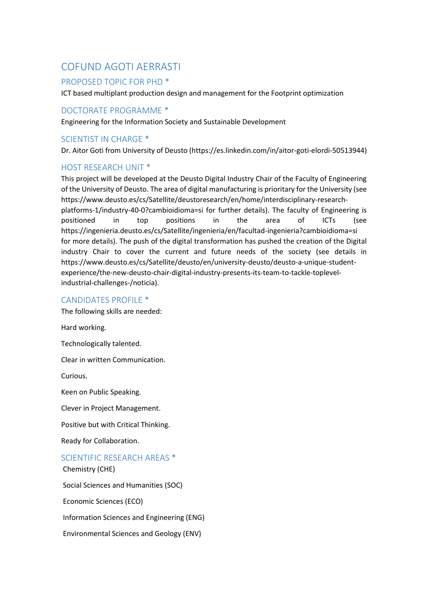# COFUND AGOTI AERRASTI

## PROPOSED TOPIC FOR PHD \*

ICT based multiplant production design and management for the Footprint optimization

## DOCTORATE PROGRAMME \*

Engineering for the Information Society and Sustainable Development

## SCIENTIST IN CHARGE \*

Dr. Aitor Goti from University of Deusto (https://es.linkedin.com/in/aitor-goti-elordi-50513944)

## HOST RESEARCH UNIT \*

This project will be developed at the Deusto Digital Industry Chair of the Faculty of Engineering of the University of Deusto. The area of digital manufacturing is prioritary for the University (see https://www.deusto.es/cs/Satellite/deustoresearch/en/home/interdisciplinary-researchplatforms-1/industry-40-0?cambioidioma=si for further details). The faculty of Engineering is positioned in top positions in the area of ICTs (see https://ingenieria.deusto.es/cs/Satellite/ingenieria/en/facultad-ingenieria?cambioidioma=si for more details). The push of the digital transformation has pushed the creation of the Digital industry Chair to cover the current and future needs of the society (see details in https://www.deusto.es/cs/Satellite/deusto/en/university-deusto/deusto-a-unique-studentexperience/the-new-deusto-chair-digital-industry-presents-its-team-to-tackle-toplevelindustrial-challenges-/noticia).

### CANDIDATES PROFILE \*

The following skills are needed:

Hard working.

Technologically talented.

Clear in written Communication.

Curious.

Keen on Public Speaking.

Clever in Project Management.

Positive but with Critical Thinking.

Ready for Collaboration.

## SCIENTIFIC RESEARCH AREAS \*

Chemistry (CHE)

Social Sciences and Humanities (SOC)

Economic Sciences (ECO)

Information Sciences and Engineering (ENG)

Environmental Sciences and Geology (ENV)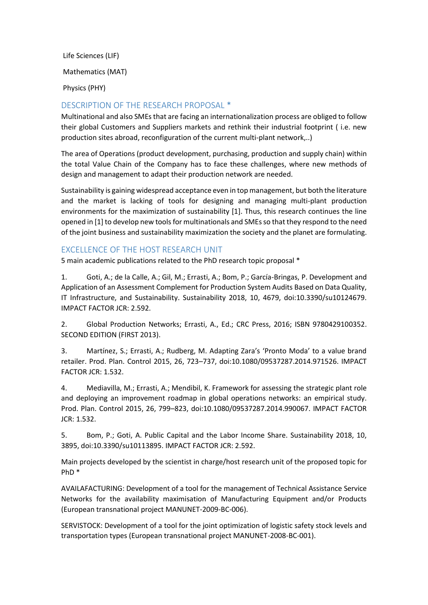Life Sciences (LIF) Mathematics (MAT) Physics (PHY)

## DESCRIPTION OF THE RESEARCH PROPOSAL \*

Multinational and also SMEs that are facing an internationalization process are obliged to follow their global Customers and Suppliers markets and rethink their industrial footprint ( i.e. new production sites abroad, reconfiguration of the current multi-plant network,..)

The area of Operations (product development, purchasing, production and supply chain) within the total Value Chain of the Company has to face these challenges, where new methods of design and management to adapt their production network are needed.

Sustainability is gaining widespread acceptance even in top management, but both the literature and the market is lacking of tools for designing and managing multi-plant production environments for the maximization of sustainability [1]. Thus, this research continues the line opened in [1] to develop new tools for multinationals and SMEs so that they respond to the need of the joint business and sustainability maximization the society and the planet are formulating.

## EXCELLENCE OF THE HOST RESEARCH UNIT

5 main academic publications related to the PhD research topic proposal \*

1. Goti, A.; de la Calle, A.; Gil, M.; Errasti, A.; Bom, P.; García-Bringas, P. Development and Application of an Assessment Complement for Production System Audits Based on Data Quality, IT Infrastructure, and Sustainability. Sustainability 2018, 10, 4679, doi:10.3390/su10124679. IMPACT FACTOR JCR: 2.592.

2. Global Production Networks; Errasti, A., Ed.; CRC Press, 2016; ISBN 9780429100352. SECOND EDITION (FIRST 2013).

3. Martínez, S.; Errasti, A.; Rudberg, M. Adapting Zara's 'Pronto Moda' to a value brand retailer. Prod. Plan. Control 2015, 26, 723–737, doi:10.1080/09537287.2014.971526. IMPACT FACTOR JCR: 1.532.

4. Mediavilla, M.; Errasti, A.; Mendibil, K. Framework for assessing the strategic plant role and deploying an improvement roadmap in global operations networks: an empirical study. Prod. Plan. Control 2015, 26, 799–823, doi:10.1080/09537287.2014.990067. IMPACT FACTOR JCR: 1.532.

5. Bom, P.; Goti, A. Public Capital and the Labor Income Share. Sustainability 2018, 10, 3895, doi:10.3390/su10113895. IMPACT FACTOR JCR: 2.592.

Main projects developed by the scientist in charge/host research unit of the proposed topic for PhD \*

AVAILAFACTURING: Development of a tool for the management of Technical Assistance Service Networks for the availability maximisation of Manufacturing Equipment and/or Products (European transnational project MANUNET-2009-BC-006).

SERVISTOCK: Development of a tool for the joint optimization of logistic safety stock levels and transportation types (European transnational project MANUNET-2008-BC-001).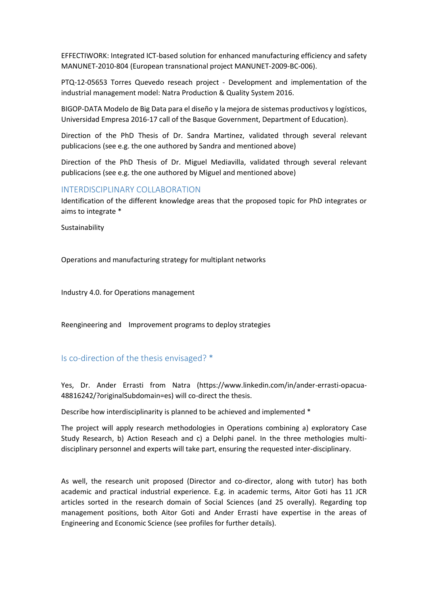EFFECTIWORK: Integrated ICT-based solution for enhanced manufacturing efficiency and safety MANUNET-2010-804 (European transnational project MANUNET-2009-BC-006).

PTQ-12-05653 Torres Quevedo reseach project - Development and implementation of the industrial management model: Natra Production & Quality System 2016.

BIGOP-DATA Modelo de Big Data para el diseño y la mejora de sistemas productivos y logísticos, Universidad Empresa 2016-17 call of the Basque Government, Department of Education).

Direction of the PhD Thesis of Dr. Sandra Martinez, validated through several relevant publicacions (see e.g. the one authored by Sandra and mentioned above)

Direction of the PhD Thesis of Dr. Miguel Mediavilla, validated through several relevant publicacions (see e.g. the one authored by Miguel and mentioned above)

#### INTERDISCIPLINARY COLLABORATION

Identification of the different knowledge areas that the proposed topic for PhD integrates or aims to integrate \*

Sustainability

Operations and manufacturing strategy for multiplant networks

Industry 4.0. for Operations management

Reengineering and Improvement programs to deploy strategies

#### Is co-direction of the thesis envisaged? \*

Yes, Dr. Ander Errasti from Natra (https://www.linkedin.com/in/ander-errasti-opacua-48816242/?originalSubdomain=es) will co-direct the thesis.

Describe how interdisciplinarity is planned to be achieved and implemented \*

The project will apply research methodologies in Operations combining a) exploratory Case Study Research, b) Action Reseach and c) a Delphi panel. In the three methologies multidisciplinary personnel and experts will take part, ensuring the requested inter-disciplinary.

As well, the research unit proposed (Director and co-director, along with tutor) has both academic and practical industrial experience. E.g. in academic terms, Aitor Goti has 11 JCR articles sorted in the research domain of Social Sciences (and 25 overally). Regarding top management positions, both Aitor Goti and Ander Errasti have expertise in the areas of Engineering and Economic Science (see profiles for further details).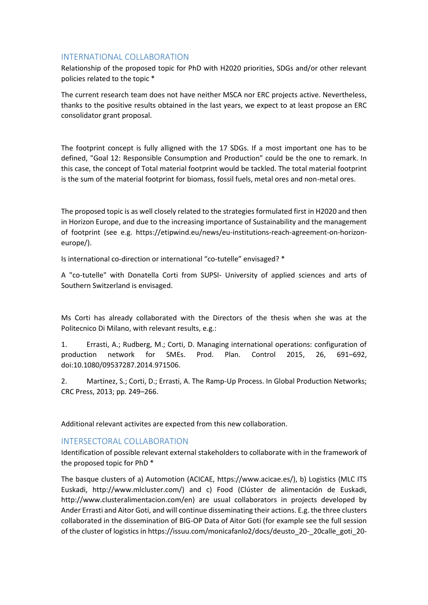## INTERNATIONAL COLLABORATION

Relationship of the proposed topic for PhD with H2020 priorities, SDGs and/or other relevant policies related to the topic \*

The current research team does not have neither MSCA nor ERC projects active. Nevertheless, thanks to the positive results obtained in the last years, we expect to at least propose an ERC consolidator grant proposal.

The footprint concept is fully alligned with the 17 SDGs. If a most important one has to be defined, "Goal 12: Responsible Consumption and Production" could be the one to remark. In this case, the concept of Total material footprint would be tackled. The total material footprint is the sum of the material footprint for biomass, fossil fuels, metal ores and non-metal ores.

The proposed topic is as well closely related to the strategies formulated first in H2020 and then in Horizon Europe, and due to the increasing importance of Sustainability and the management of footprint (see e.g. https://etipwind.eu/news/eu-institutions-reach-agreement-on-horizoneurope/).

Is international co-direction or international "co-tutelle" envisaged? \*

A "co-tutelle" with Donatella Corti from SUPSI- University of applied sciences and arts of Southern Switzerland is envisaged.

Ms Corti has already collaborated with the Directors of the thesis when she was at the Politecnico Di Milano, with relevant results, e.g.:

1. Errasti, A.; Rudberg, M.; Corti, D. Managing international operations: configuration of production network for SMEs. Prod. Plan. Control 2015, 26, 691–692, doi:10.1080/09537287.2014.971506.

2. Martínez, S.; Corti, D.; Errasti, A. The Ramp-Up Process. In Global Production Networks; CRC Press, 2013; pp. 249–266.

Additional relevant activites are expected from this new collaboration.

## INTERSECTORAL COLLABORATION

Identification of possible relevant external stakeholders to collaborate with in the framework of the proposed topic for PhD \*

The basque clusters of a) Automotion (ACICAE, https://www.acicae.es/), b) Logistics (MLC ITS Euskadi, http://www.mlcluster.com/) and c) Food (Clúster de alimentación de Euskadi, http://www.clusteralimentacion.com/en) are usual collaborators in projects developed by Ander Errasti and Aitor Goti, and will continue disseminating their actions. E.g. the three clusters collaborated in the dissemination of BIG-OP Data of Aitor Goti (for example see the full session of the cluster of logistics in https://issuu.com/monicafanlo2/docs/deusto\_20-\_20calle\_goti\_20